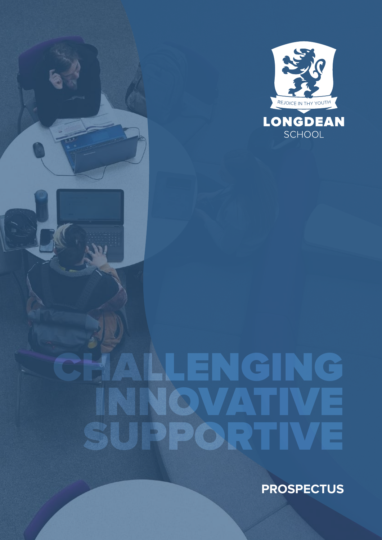

# CHALLENGING INNOVATIVE SUPPORTIVE

**PROSPECTUS**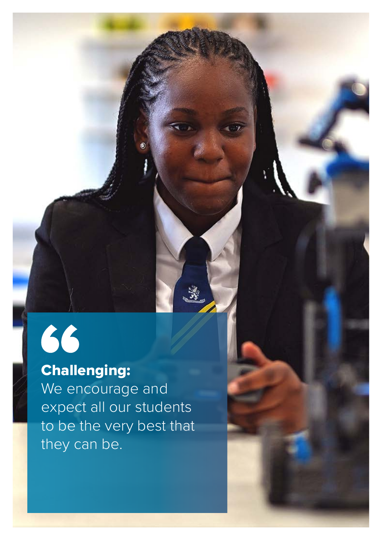# 66

### Challenging:

We encourage and expect all our students to be the very best that they can be.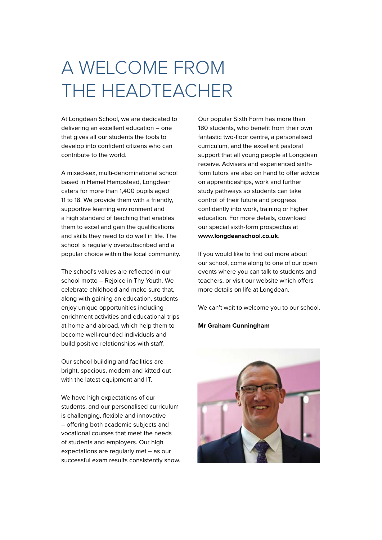## A WELCOME FROM THE HEADTEACHER

At Longdean School, we are dedicated to delivering an excellent education – one that gives all our students the tools to develop into confident citizens who can contribute to the world.

A mixed-sex, multi-denominational school based in Hemel Hempstead, Longdean caters for more than 1,400 pupils aged 11 to 18. We provide them with a friendly, supportive learning environment and a high standard of teaching that enables them to excel and gain the qualifications and skills they need to do well in life. The school is regularly oversubscribed and a popular choice within the local community.

The school's values are reflected in our school motto – Rejoice in Thy Youth. We celebrate childhood and make sure that, along with gaining an education, students enjoy unique opportunities including enrichment activities and educational trips at home and abroad, which help them to become well-rounded individuals and build positive relationships with staff.

Our school building and facilities are bright, spacious, modern and kitted out with the latest equipment and IT.

We have high expectations of our students, and our personalised curriculum is challenging, flexible and innovative – offering both academic subjects and vocational courses that meet the needs of students and employers. Our high expectations are regularly met – as our successful exam results consistently show.

Our popular Sixth Form has more than 180 students, who benefit from their own fantastic two-floor centre, a personalised curriculum, and the excellent pastoral support that all young people at Longdean receive. Advisers and experienced sixthform tutors are also on hand to offer advice on apprenticeships, work and further study pathways so students can take control of their future and progress confidently into work, training or higher education. For more details, download our special sixth-form prospectus at **www.longdeanschool.co.uk**.

If you would like to find out more about our school, come along to one of our open events where you can talk to students and teachers, or visit our website which offers more details on life at Longdean.

We can't wait to welcome you to our school.

#### **Mr Graham Cunningham**

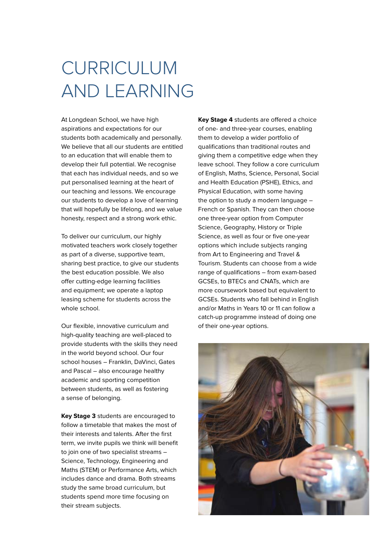## CURRICULUM AND LEARNING

At Longdean School, we have high aspirations and expectations for our students both academically and personally. We believe that all our students are entitled to an education that will enable them to develop their full potential. We recognise that each has individual needs, and so we put personalised learning at the heart of our teaching and lessons. We encourage our students to develop a love of learning that will hopefully be lifelong, and we value honesty, respect and a strong work ethic.

To deliver our curriculum, our highly motivated teachers work closely together as part of a diverse, supportive team, sharing best practice, to give our students the best education possible. We also offer cutting-edge learning facilities and equipment; we operate a laptop leasing scheme for students across the whole school.

Our flexible, innovative curriculum and high-quality teaching are well-placed to provide students with the skills they need in the world beyond school. Our four school houses – Franklin, DaVinci, Gates and Pascal – also encourage healthy academic and sporting competition between students, as well as fostering a sense of belonging.

**Key Stage 3** students are encouraged to follow a timetable that makes the most of their interests and talents. After the first term, we invite pupils we think will benefit to join one of two specialist streams – Science, Technology, Engineering and Maths (STEM) or Performance Arts, which includes dance and drama. Both streams study the same broad curriculum, but students spend more time focusing on their stream subjects.

**Key Stage 4** students are offered a choice of one- and three-year courses, enabling them to develop a wider portfolio of qualifications than traditional routes and giving them a competitive edge when they leave school. They follow a core curriculum of English, Maths, Science, Personal, Social and Health Education (PSHE), Ethics, and Physical Education, with some having the option to study a modern language – French or Spanish. They can then choose one three-year option from Computer Science, Geography, History or Triple Science, as well as four or five one-year options which include subjects ranging from Art to Engineering and Travel & Tourism. Students can choose from a wide range of qualifications – from exam-based GCSEs, to BTECs and CNATs, which are more coursework based but equivalent to GCSEs. Students who fall behind in English and/or Maths in Years 10 or 11 can follow a catch-up programme instead of doing one of their one-year options.

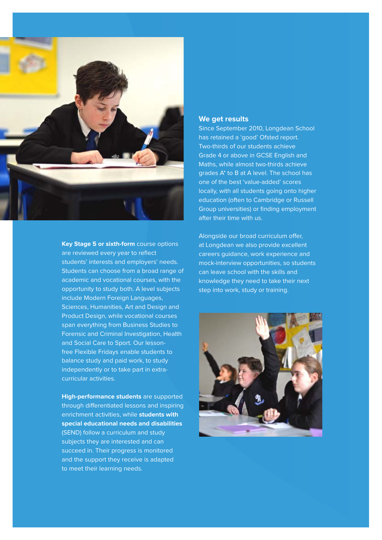

**Key Stage 5 or sixth-form** course options are reviewed every year to reflect students' interests and employers' needs. Students can choose from a broad range of academic and vocational courses, with the opportunity to study both. A level subjects include Modern Foreign Languages, Sciences, Humanities, Art and Design and Product Design, while vocational courses span everything from Business Studies to Forensic and Criminal Investigation, Health and Social Care to Sport. Our lessonfree Flexible Fridays enable students to balance study and paid work, to study independently or to take part in extracurricular activities.

**High-performance students** are supported through differentiated lessons and inspiring enrichment activities, while **students with special educational needs and disabilities** (SEND) follow a curriculum and study subjects they are interested and can succeed in. Their progress is monitored and the support they receive is adapted to meet their learning needs.

#### **We get results**

Since September 2010, Longdean School has retained a 'good' Ofsted report. Two-thirds of our students achieve Grade 4 or above in GCSE English and Maths, while almost two-thirds achieve grades A\* to B at A level. The school has one of the best 'value-added' scores locally, with all students going onto higher education (often to Cambridge or Russell Group universities) or finding employment after their time with us.

Alongside our broad curriculum offer, at Longdean we also provide excellent careers guidance, work experience and mock-interview opportunities, so students can leave school with the skills and knowledge they need to take their next step into work, study or training.

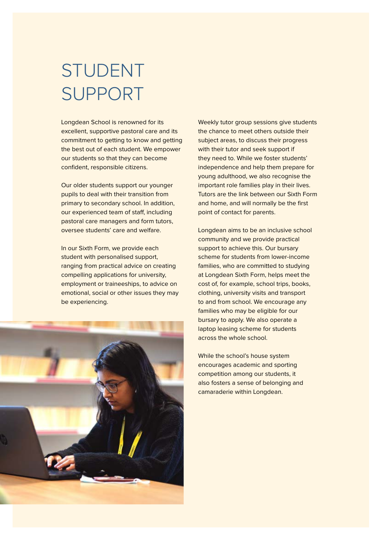### STUDENT SUPPORT

Longdean School is renowned for its excellent, supportive pastoral care and its commitment to getting to know and getting the best out of each student. We empower our students so that they can become confident, responsible citizens.

Our older students support our younger pupils to deal with their transition from primary to secondary school. In addition, our experienced team of staff, including pastoral care managers and form tutors, oversee students' care and welfare.

In our Sixth Form, we provide each student with personalised support, ranging from practical advice on creating compelling applications for university, employment or traineeships, to advice on emotional, social or other issues they may be experiencing.



Weekly tutor group sessions give students the chance to meet others outside their subject areas, to discuss their progress with their tutor and seek support if they need to. While we foster students' independence and help them prepare for young adulthood, we also recognise the important role families play in their lives. Tutors are the link between our Sixth Form and home, and will normally be the first point of contact for parents.

Longdean aims to be an inclusive school community and we provide practical support to achieve this. Our bursary scheme for students from lower-income families, who are committed to studying at Longdean Sixth Form, helps meet the cost of, for example, school trips, books, clothing, university visits and transport to and from school. We encourage any families who may be eligible for our bursary to apply. We also operate a laptop leasing scheme for students across the whole school.

While the school's house system encourages academic and sporting competition among our students, it also fosters a sense of belonging and camaraderie within Longdean.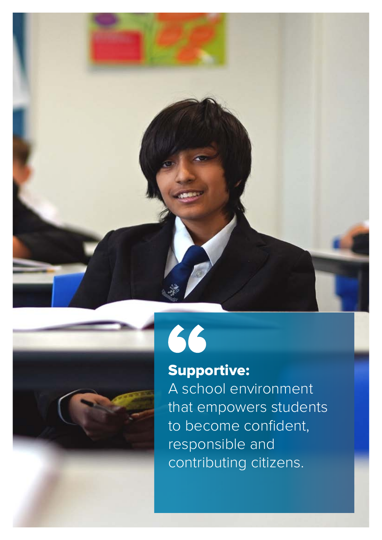



66

### Supportive:

A school environment that empowers students to become confident, responsible and contributing citizens.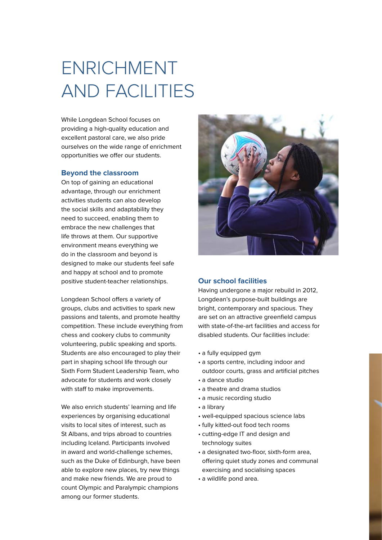## ENRICHMENT AND FACILITIES

While Longdean School focuses on providing a high-quality education and excellent pastoral care, we also pride ourselves on the wide range of enrichment opportunities we offer our students.

#### **Beyond the classroom**

On top of gaining an educational advantage, through our enrichment activities students can also develop the social skills and adaptability they need to succeed, enabling them to embrace the new challenges that life throws at them. Our supportive environment means everything we do in the classroom and beyond is designed to make our students feel safe and happy at school and to promote positive student-teacher relationships.

Longdean School offers a variety of groups, clubs and activities to spark new passions and talents, and promote healthy competition. These include everything from chess and cookery clubs to community volunteering, public speaking and sports. Students are also encouraged to play their part in shaping school life through our Sixth Form Student Leadership Team, who advocate for students and work closely with staff to make improvements.

We also enrich students' learning and life experiences by organising educational visits to local sites of interest, such as St Albans, and trips abroad to countries including Iceland. Participants involved in award and world-challenge schemes, such as the Duke of Edinburgh, have been able to explore new places, try new things and make new friends. We are proud to count Olympic and Paralympic champions among our former students.



#### **Our school facilities**

Having undergone a major rebuild in 2012, Longdean's purpose-built buildings are bright, contemporary and spacious. They are set on an attractive greenfield campus with state-of-the-art facilities and access for disabled students. Our facilities include:

- a fully equipped gym
- a sports centre, including indoor and outdoor courts, grass and artificial pitches
- a dance studio
- a theatre and drama studios
- a music recording studio
- a library
- well-equipped spacious science labs
- fully kitted-out food tech rooms
- cutting-edge IT and design and technology suites
- a designated two-floor, sixth-form area, offering quiet study zones and communal exercising and socialising spaces
- a wildlife pond area.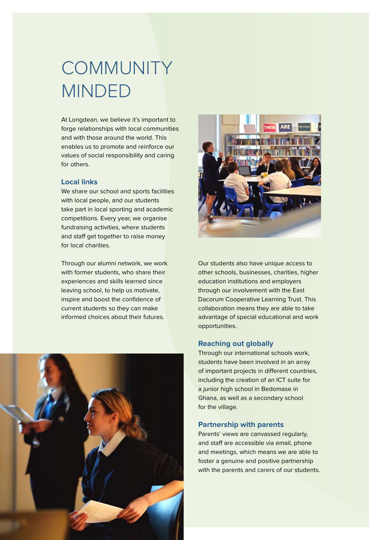## COMMUNITY MINDED

At Longdean, we believe it's important to forge relationships with local communities and with those around the world. This enables us to promote and reinforce our values of social responsibility and caring for others.

#### **Local links**

We share our school and sports facilities with local people, and our students take part in local sporting and academic competitions. Every year, we organise fundraising activities, where students and staff get together to raise money for local charities.

Through our alumni network, we work with former students, who share their experiences and skills learned since leaving school, to help us motivate, inspire and boost the confidence of current students so they can make informed choices about their futures.





Our students also have unique access to other schools, businesses, charities, higher education institutions and employers through our involvement with the East Dacorum Cooperative Learning Trust. This collaboration means they are able to take advantage of special educational and work opportunities.

#### **Reaching out globally**

Through our international schools work, students have been involved in an array of important projects in different countries, including the creation of an ICT suite for a junior high school in Bedomase in Ghana, as well as a secondary school for the village.

#### **Partnership with parents**

Parents' views are canvassed regularly, and staff are accessible via email, phone and meetings, which means we are able to foster a genuine and positive partnership with the parents and carers of our students.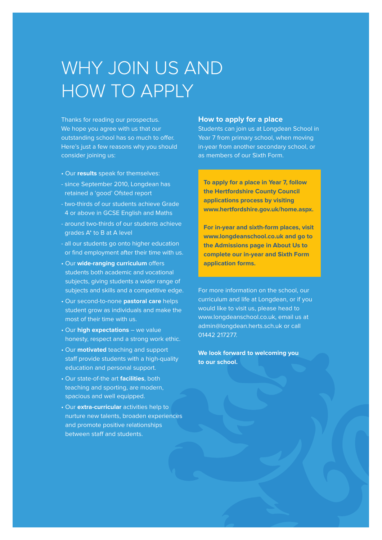### WHY JOIN US AND HOW TO APPLY

Thanks for reading our prospectus. We hope you agree with us that our outstanding school has so much to offer. Here's just a few reasons why you should consider joining us:

- Our **results** speak for themselves:
- since September 2010, Longdean has retained a 'good' Ofsted report
- two-thirds of our students achieve Grade 4 or above in GCSE English and Maths
- around two-thirds of our students achieve grades A\* to B at A level
- all our students go onto higher education or find employment after their time with us.
- Our **wide-ranging curriculum** offers students both academic and vocational subjects, giving students a wider range of subjects and skills and a competitive edge.
- Our second-to-none **pastoral care** helps student grow as individuals and make the most of their time with us.
- Our **high expectations** we value honesty, respect and a strong work ethic.
- Our **motivated** teaching and support staff provide students with a high-quality education and personal support.
- Our state-of-the art **facilities**, both teaching and sporting, are modern, spacious and well equipped.
- Our **extra-curricular** activities help to nurture new talents, broaden experiences and promote positive relationships between staff and students.

#### **How to apply for a place**

Students can join us at Longdean School in Year 7 from primary school, when moving in-year from another secondary school, or as members of our Sixth Form.

**To apply for a place in Year 7, follow the Hertfordshire County Council applications process by visiting www.hertfordshire.gov.uk/home.aspx.**

**For in-year and sixth-form places, visit www.longdeanschool.co.uk and go to the Admissions page in About Us to complete our in-year and Sixth Form application forms.** 

For more information on the school, our curriculum and life at Longdean, or if you would like to visit us, please head to www.longdeanschool.co.uk, email us at admin@longdean.herts.sch.uk or call 01442 217277.

**We look forward to welcoming you to our school.**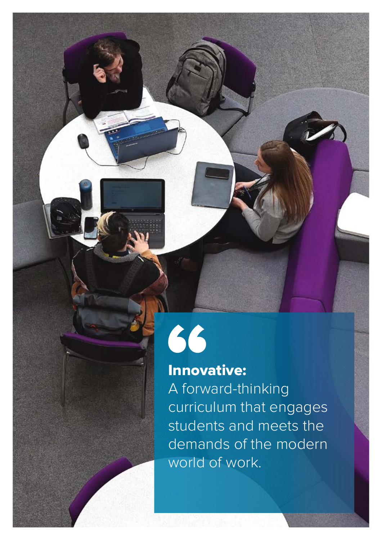# 66

### Innovative:

A forward-thinking curriculum that engages students and meets the demands of the modern world of work.